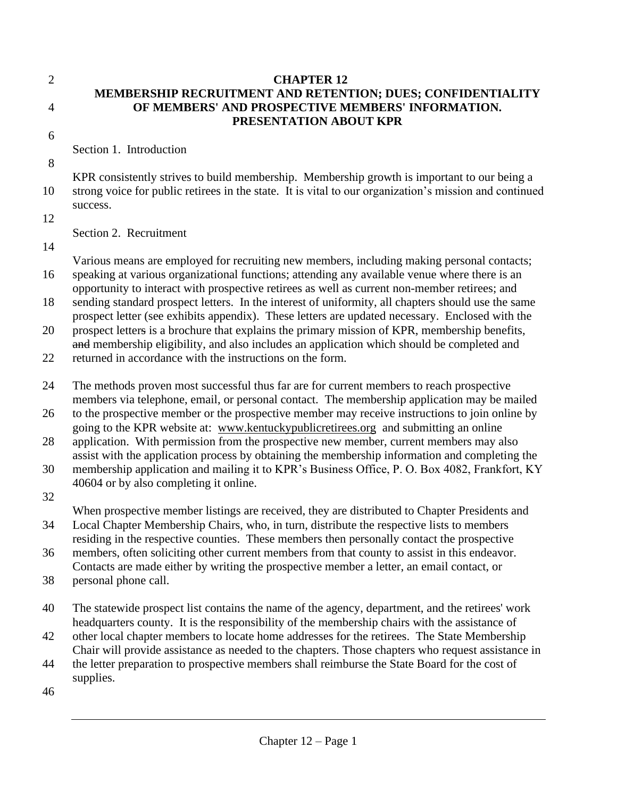## 2 **CHAPTER 12 MEMBERSHIP RECRUITMENT AND RETENTION; DUES; CONFIDENTIALITY**  4 **OF MEMBERS' AND PROSPECTIVE MEMBERS' INFORMATION. PRESENTATION ABOUT KPR**

6

Section 1. Introduction

8

KPR consistently strives to build membership. Membership growth is important to our being a 10 strong voice for public retirees in the state. It is vital to our organization's mission and continued success.

12

Section 2. Recruitment

14

Various means are employed for recruiting new members, including making personal contacts;

16 speaking at various organizational functions; attending any available venue where there is an opportunity to interact with prospective retirees as well as current non-member retirees; and

18 sending standard prospect letters. In the interest of uniformity, all chapters should use the same prospect letter (see exhibits appendix). These letters are updated necessary. Enclosed with the

20 prospect letters is a brochure that explains the primary mission of KPR, membership benefits, and membership eligibility, and also includes an application which should be completed and

22 returned in accordance with the instructions on the form.

24 The methods proven most successful thus far are for current members to reach prospective members via telephone, email, or personal contact. The membership application may be mailed

26 to the prospective member or the prospective member may receive instructions to join online by going to the KPR website at: [www.kentuckypublicretirees.org](http://www.kentuckypublicretirees.org/) and submitting an online

28 application. With permission from the prospective new member, current members may also assist with the application process by obtaining the membership information and completing the

30 membership application and mailing it to KPR's Business Office, P. O. Box 4082, Frankfort, KY 40604 or by also completing it online.

32

When prospective member listings are received, they are distributed to Chapter Presidents and

34 Local Chapter Membership Chairs, who, in turn, distribute the respective lists to members

residing in the respective counties. These members then personally contact the prospective 36 members, often soliciting other current members from that county to assist in this endeavor.

Contacts are made either by writing the prospective member a letter, an email contact, or

38 personal phone call.

40 The statewide prospect list contains the name of the agency, department, and the retirees' work headquarters county. It is the responsibility of the membership chairs with the assistance of

42 other local chapter members to locate home addresses for the retirees. The State Membership Chair will provide assistance as needed to the chapters. Those chapters who request assistance in

- 44 the letter preparation to prospective members shall reimburse the State Board for the cost of supplies.
- 46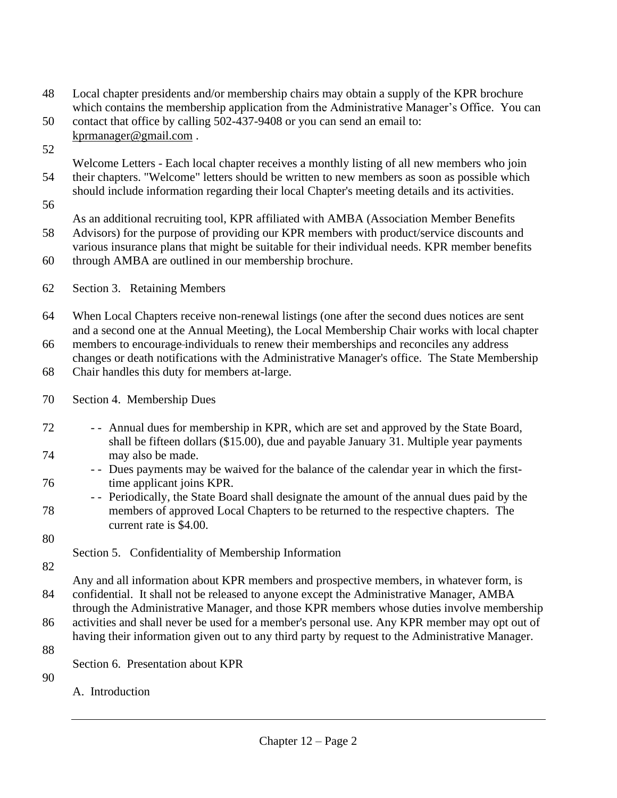- 48 Local chapter presidents and/or membership chairs may obtain a supply of the KPR brochure which contains the membership application from the Administrative Manager's Office. You can
- 50 contact that office by calling 502-437-9408 or you can send an email to: [kprmanager@gmail.com](mailto:kprmanager@gmail.com) .
- 52

Welcome Letters - Each local chapter receives a monthly listing of all new members who join 54 their chapters. "Welcome" letters should be written to new members as soon as possible which should include information regarding their local Chapter's meeting details and its activities.

56

As an additional recruiting tool, KPR affiliated with AMBA (Association Member Benefits

58 Advisors) for the purpose of providing our KPR members with product/service discounts and various insurance plans that might be suitable for their individual needs. KPR member benefits

60 through AMBA are outlined in our membership brochure.

62 Section 3. Retaining Members

64 When Local Chapters receive non-renewal listings (one after the second dues notices are sent and a second one at the Annual Meeting), the Local Membership Chair works with local chapter

66 members to encourage individuals to renew their memberships and reconciles any address changes or death notifications with the Administrative Manager's office. The State Membership

68 Chair handles this duty for members at-large.

70 Section 4. Membership Dues

- 72 - Annual dues for membership in KPR, which are set and approved by the State Board, shall be fifteen dollars (\$15.00), due and payable January 31. Multiple year payments 74 may also be made.
- - Dues payments may be waived for the balance of the calendar year in which the first-76 time applicant joins KPR.
- - Periodically, the State Board shall designate the amount of the annual dues paid by the 78 members of approved Local Chapters to be returned to the respective chapters. The current rate is \$4.00.
- 80

Section 5. Confidentiality of Membership Information

82

Any and all information about KPR members and prospective members, in whatever form, is 84 confidential. It shall not be released to anyone except the Administrative Manager, AMBA through the Administrative Manager, and those KPR members whose duties involve membership

86 activities and shall never be used for a member's personal use. Any KPR member may opt out of having their information given out to any third party by request to the Administrative Manager.

- 88
- Section 6. Presentation about KPR

90

A. Introduction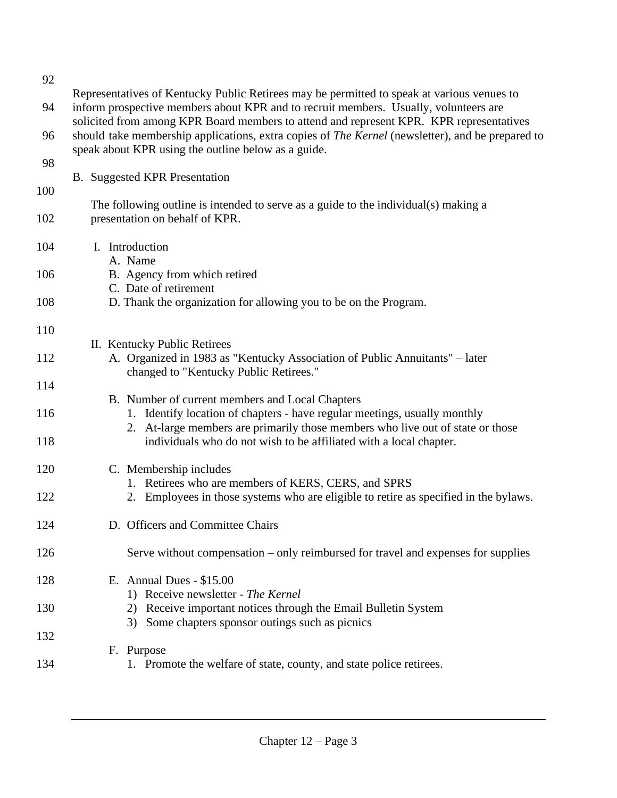| 92         |                                                                                                                                                                                                                                                                               |
|------------|-------------------------------------------------------------------------------------------------------------------------------------------------------------------------------------------------------------------------------------------------------------------------------|
| 94         | Representatives of Kentucky Public Retirees may be permitted to speak at various venues to<br>inform prospective members about KPR and to recruit members. Usually, volunteers are<br>solicited from among KPR Board members to attend and represent KPR. KPR representatives |
| 96         | should take membership applications, extra copies of The Kernel (newsletter), and be prepared to<br>speak about KPR using the outline below as a guide.                                                                                                                       |
| 98         | <b>B.</b> Suggested KPR Presentation                                                                                                                                                                                                                                          |
| 100<br>102 | The following outline is intended to serve as a guide to the individual(s) making a<br>presentation on behalf of KPR.                                                                                                                                                         |
| 104        | I. Introduction                                                                                                                                                                                                                                                               |
| 106        | A. Name<br>B. Agency from which retired<br>C. Date of retirement                                                                                                                                                                                                              |
| 108        | D. Thank the organization for allowing you to be on the Program.                                                                                                                                                                                                              |
| 110        | II. Kentucky Public Retirees                                                                                                                                                                                                                                                  |
| 112        | A. Organized in 1983 as "Kentucky Association of Public Annuitants" – later<br>changed to "Kentucky Public Retirees."                                                                                                                                                         |
| 114        | B. Number of current members and Local Chapters                                                                                                                                                                                                                               |
| 116<br>118 | 1. Identify location of chapters - have regular meetings, usually monthly<br>2. At-large members are primarily those members who live out of state or those<br>individuals who do not wish to be affiliated with a local chapter.                                             |
| 120        | C. Membership includes                                                                                                                                                                                                                                                        |
| 122        | 1. Retirees who are members of KERS, CERS, and SPRS<br>2. Employees in those systems who are eligible to retire as specified in the bylaws.                                                                                                                                   |
| 124        | D. Officers and Committee Chairs                                                                                                                                                                                                                                              |
| 126        | Serve without compensation – only reimbursed for travel and expenses for supplies                                                                                                                                                                                             |
| 128        | E. Annual Dues - $$15.00$<br>1) Receive newsletter - The Kernel                                                                                                                                                                                                               |
| 130        | 2) Receive important notices through the Email Bulletin System<br>3) Some chapters sponsor outings such as picnics                                                                                                                                                            |
| 132        | F. Purpose                                                                                                                                                                                                                                                                    |
| 134        | 1. Promote the welfare of state, county, and state police retirees.                                                                                                                                                                                                           |